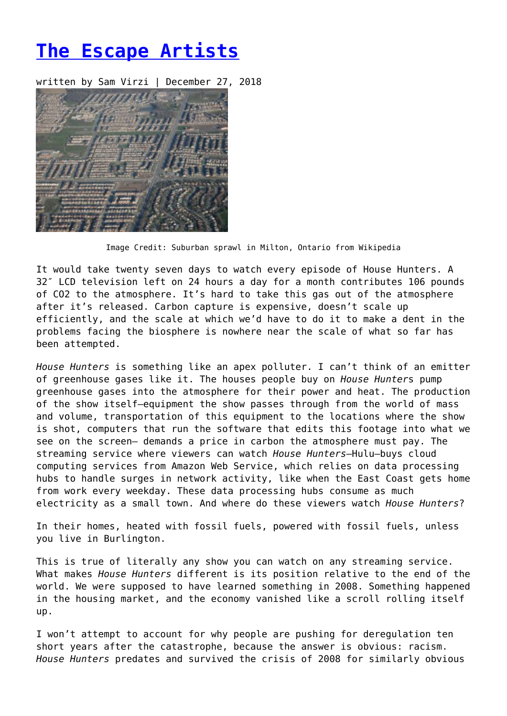## **[The Escape Artists](https://entropymag.org/the-escape-artists/)**

written by Sam Virzi | December 27, 2018



Image Credit: Suburban sprawl in Milton, Ontario from Wikipedia

It would take twenty seven days to watch every episode of House Hunters. A 32″ LCD television left on 24 hours a day for a month contributes 106 pounds of CO2 to the atmosphere. It's hard to take this gas out of the atmosphere after it's released. Carbon capture is expensive, doesn't scale up efficiently, and the scale at which we'd have to do it to make a dent in the problems facing the biosphere is nowhere near the scale of what so far has been attempted.

*House Hunters* is something like an apex polluter. I can't think of an emitter of greenhouse gases like it. The houses people buy on *House Hunter*s pump greenhouse gases into the atmosphere for their power and heat. The production of the show itself—equipment the show passes through from the world of mass and volume, transportation of this equipment to the locations where the show is shot, computers that run the software that edits this footage into what we see on the screen— demands a price in carbon the atmosphere must pay. The streaming service where viewers can watch *House Hunters*—Hulu—buys cloud computing services from Amazon Web Service, which relies on data processing hubs to handle surges in network activity, like when the East Coast gets home from work every weekday. These data processing hubs consume as much electricity as a small town. And where do these viewers watch *House Hunters*?

In their homes, heated with fossil fuels, powered with fossil fuels, unless you live in Burlington.

This is true of literally any show you can watch on any streaming service. What makes *House Hunters* different is its position relative to the end of the world. We were supposed to have learned something in 2008. Something happened in the housing market, and the economy vanished like a scroll rolling itself up.

I won't attempt to account for why people are pushing for deregulation ten short years after the catastrophe, because the answer is obvious: racism. *House Hunters* predates and survived the crisis of 2008 for similarly obvious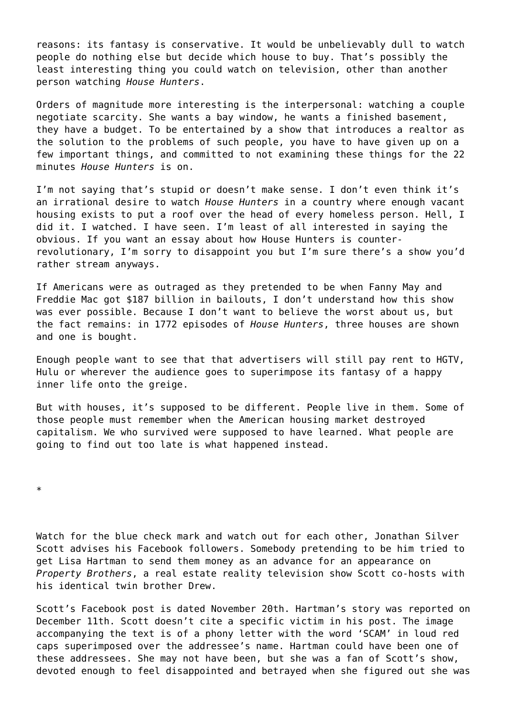reasons: its fantasy is conservative. It would be unbelievably dull to watch people do nothing else but decide which house to buy. That's possibly the least interesting thing you could watch on television, other than another person watching *House Hunters*.

Orders of magnitude more interesting is the interpersonal: watching a couple negotiate scarcity. She wants a bay window, he wants a finished basement, they have a budget. To be entertained by a show that introduces a realtor as the solution to the problems of such people, you have to have given up on a few important things, and committed to not examining these things for the 22 minutes *House Hunters* is on.

I'm not saying that's stupid or doesn't make sense. I don't even think it's an irrational desire to watch *House Hunters* in a country where enough vacant housing exists to put a roof over the head of every homeless person. Hell, I did it. I watched. I have seen. I'm least of all interested in saying the obvious. If you want an essay about how House Hunters is counterrevolutionary, I'm sorry to disappoint you but I'm sure there's a show you'd rather stream anyways.

If Americans were as outraged as they pretended to be when Fanny May and Freddie Mac got \$187 billion in bailouts, I don't understand how this show was ever possible. Because I don't want to believe the worst about us, but the fact remains: in 1772 episodes of *House Hunters*, three houses are shown and one is bought.

Enough people want to see that that advertisers will still pay rent to HGTV, Hulu or wherever the audience goes to superimpose its fantasy of a happy inner life onto the greige.

But with houses, it's supposed to be different. People live in them. Some of those people must remember when the American housing market destroyed capitalism. We who survived were supposed to have learned. What people are going to find out too late is what happened instead.

\*

Watch for the blue check mark and watch out for each other, Jonathan Silver Scott advises his Facebook followers. Somebody pretending to be him tried to get Lisa Hartman to send them money as an advance for an appearance on *Property Brothers*, a real estate reality television show Scott co-hosts with his identical twin brother Drew.

Scott's Facebook post is dated November 20th. Hartman's story was reported on December 11th. Scott doesn't cite a specific victim in his post. The image accompanying the text is of a phony letter with the word 'SCAM' in loud red caps superimposed over the addressee's name. Hartman could have been one of these addressees. She may not have been, but she was a fan of Scott's show, devoted enough to feel disappointed and betrayed when she figured out she was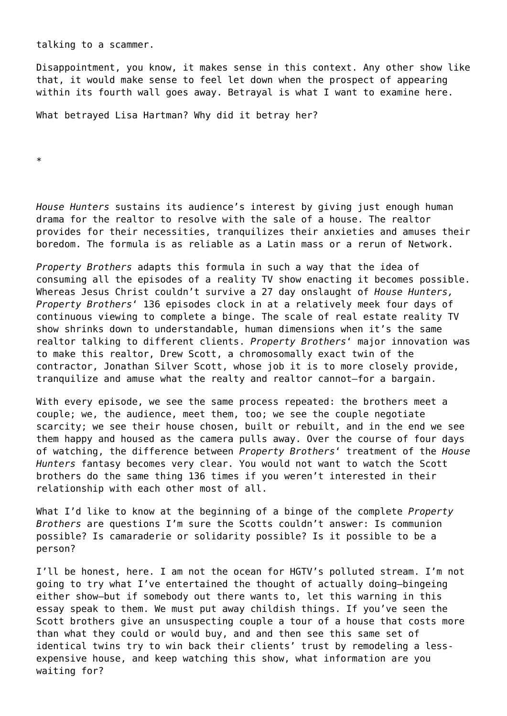talking to a scammer.

Disappointment, you know, it makes sense in this context. Any other show like that, it would make sense to feel let down when the prospect of appearing within its fourth wall goes away. Betrayal is what I want to examine here.

What betrayed Lisa Hartman? Why did it betray her?

\*

*House Hunters* sustains its audience's interest by giving just enough human drama for the realtor to resolve with the sale of a house. The realtor provides for their necessities, tranquilizes their anxieties and amuses their boredom. The formula is as reliable as a Latin mass or a rerun of Network.

*Property Brothers* adapts this formula in such a way that the idea of consuming all the episodes of a reality TV show enacting it becomes possible. Whereas Jesus Christ couldn't survive a 27 day onslaught of *House Hunters, Property Brothers*' 136 episodes clock in at a relatively meek four days of continuous viewing to complete a binge. The scale of real estate reality TV show shrinks down to understandable, human dimensions when it's the same realtor talking to different clients. *Property Brothers*' major innovation was to make this realtor, Drew Scott, a chromosomally exact twin of the contractor, Jonathan Silver Scott, whose job it is to more closely provide, tranquilize and amuse what the realty and realtor cannot—for a bargain.

With every episode, we see the same process repeated: the brothers meet a couple; we, the audience, meet them, too; we see the couple negotiate scarcity; we see their house chosen, built or rebuilt, and in the end we see them happy and housed as the camera pulls away. Over the course of four days of watching, the difference between *Property Brothers*' treatment of the *House Hunters* fantasy becomes very clear. You would not want to watch the Scott brothers do the same thing 136 times if you weren't interested in their relationship with each other most of all.

What I'd like to know at the beginning of a binge of the complete *Property Brothers* are questions I'm sure the Scotts couldn't answer: Is communion possible? Is camaraderie or solidarity possible? Is it possible to be a person?

I'll be honest, here. I am not the ocean for HGTV's polluted stream. I'm not going to try what I've entertained the thought of actually doing—bingeing either show—but if somebody out there wants to, let this warning in this essay speak to them. We must put away childish things. If you've seen the Scott brothers give an unsuspecting couple a tour of a house that costs more than what they could or would buy, and and then see this same set of identical twins try to win back their clients' trust by remodeling a lessexpensive house, and keep watching this show, what information are you waiting for?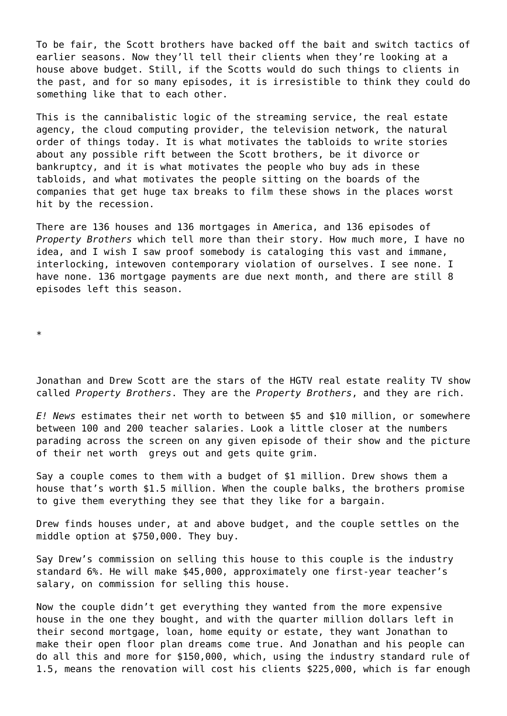To be fair, the Scott brothers have backed off the bait and switch tactics of earlier seasons. Now they'll tell their clients when they're looking at a house above budget. Still, if the Scotts would do such things to clients in the past, and for so many episodes, it is irresistible to think they could do something like that to each other.

This is the cannibalistic logic of the streaming service, the real estate agency, the cloud computing provider, the television network, the natural order of things today. It is what motivates the tabloids to write stories about any possible rift between the Scott brothers, be it divorce or bankruptcy, and it is what motivates the people who buy ads in these tabloids, and what motivates the people sitting on the boards of the companies that get huge tax breaks to film these shows in the places worst hit by the recession.

There are 136 houses and 136 mortgages in America, and 136 episodes of *Property Brothers* which tell more than their story. How much more, I have no idea, and I wish I saw proof somebody is cataloging this vast and immane, interlocking, intewoven contemporary violation of ourselves. I see none. I have none. 136 mortgage payments are due next month, and there are still 8 episodes left this season.

\*

Jonathan and Drew Scott are the stars of the HGTV real estate reality TV show called *Property Brothers*. They are the *Property Brothers*, and they are rich.

*E! News* estimates their net worth to between \$5 and \$10 million, or somewhere between 100 and 200 teacher salaries. Look a little closer at the numbers parading across the screen on any given episode of their show and the picture of their net worth greys out and gets quite grim.

Say a couple comes to them with a budget of \$1 million. Drew shows them a house that's worth \$1.5 million. When the couple balks, the brothers promise to give them everything they see that they like for a bargain.

Drew finds houses under, at and above budget, and the couple settles on the middle option at \$750,000. They buy.

Say Drew's commission on selling this house to this couple is the industry standard 6%. He will make \$45,000, approximately one first-year teacher's salary, on commission for selling this house.

Now the couple didn't get everything they wanted from the more expensive house in the one they bought, and with the quarter million dollars left in their second mortgage, loan, home equity or estate, they want Jonathan to make their open floor plan dreams come true. And Jonathan and his people can do all this and more for \$150,000, which, using the industry standard rule of 1.5, means the renovation will cost his clients \$225,000, which is far enough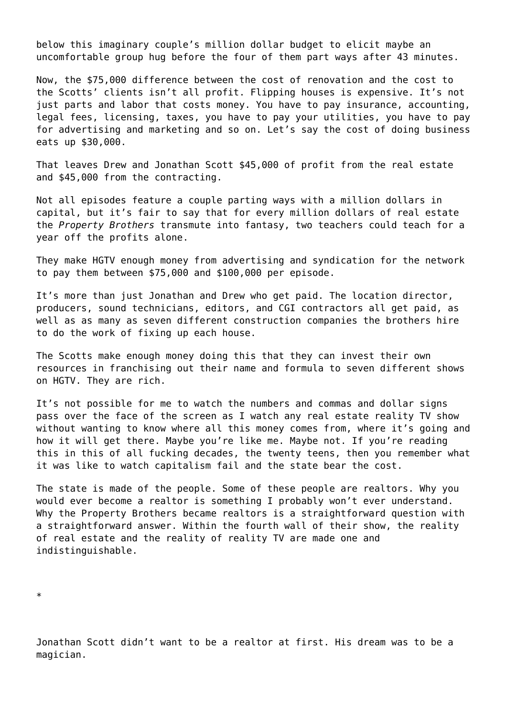below this imaginary couple's million dollar budget to elicit maybe an uncomfortable group hug before the four of them part ways after 43 minutes.

Now, the \$75,000 difference between the cost of renovation and the cost to the Scotts' clients isn't all profit. Flipping houses is expensive. It's not just parts and labor that costs money. You have to pay insurance, accounting, legal fees, licensing, taxes, you have to pay your utilities, you have to pay for advertising and marketing and so on. Let's say the cost of doing business eats up \$30,000.

That leaves Drew and Jonathan Scott \$45,000 of profit from the real estate and \$45,000 from the contracting.

Not all episodes feature a couple parting ways with a million dollars in capital, but it's fair to say that for every million dollars of real estate the *Property Brothers* transmute into fantasy, two teachers could teach for a year off the profits alone.

They make HGTV enough money from advertising and syndication for the network to pay them between \$75,000 and \$100,000 per episode.

It's more than just Jonathan and Drew who get paid. The location director, producers, sound technicians, editors, and CGI contractors all get paid, as well as as many as seven different construction companies the brothers hire to do the work of fixing up each house.

The Scotts make enough money doing this that they can invest their own resources in franchising out their name and formula to seven different shows on HGTV. They are rich.

It's not possible for me to watch the numbers and commas and dollar signs pass over the face of the screen as I watch any real estate reality TV show without wanting to know where all this money comes from, where it's going and how it will get there. Maybe you're like me. Maybe not. If you're reading this in this of all fucking decades, the twenty teens, then you remember what it was like to watch capitalism fail and the state bear the cost.

The state is made of the people. Some of these people are realtors. Why you would ever become a realtor is something I probably won't ever understand. Why the Property Brothers became realtors is a straightforward question with a straightforward answer. Within the fourth wall of their show, the reality of real estate and the reality of reality TV are made one and indistinguishable.

\*

Jonathan Scott didn't want to be a realtor at first. His dream was to be a magician.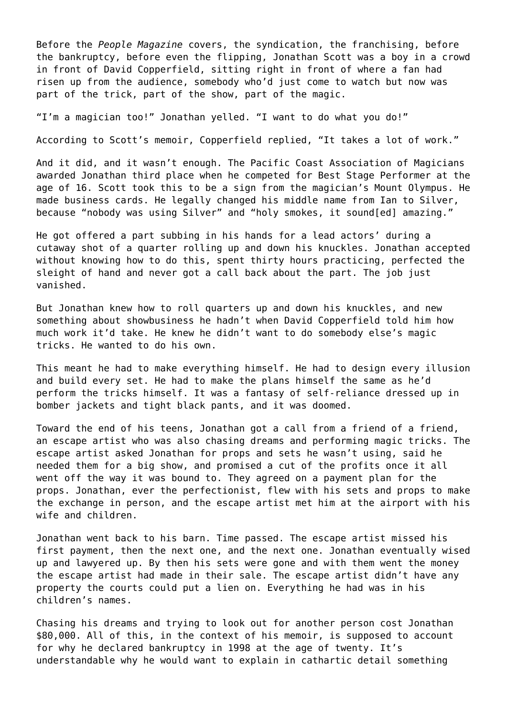Before the *People Magazine* covers, the syndication, the franchising, before the bankruptcy, before even the flipping, Jonathan Scott was a boy in a crowd in front of David Copperfield, sitting right in front of where a fan had risen up from the audience, somebody who'd just come to watch but now was part of the trick, part of the show, part of the magic.

"I'm a magician too!" Jonathan yelled. "I want to do what you do!"

According to Scott's memoir, Copperfield replied, "It takes a lot of work."

And it did, and it wasn't enough. The Pacific Coast Association of Magicians awarded Jonathan third place when he competed for Best Stage Performer at the age of 16. Scott took this to be a sign from the magician's Mount Olympus. He made business cards. He legally changed his middle name from Ian to Silver, because "nobody was using Silver" and "holy smokes, it sound[ed] amazing."

He got offered a part subbing in his hands for a lead actors' during a cutaway shot of a quarter rolling up and down his knuckles. Jonathan accepted without knowing how to do this, spent thirty hours practicing, perfected the sleight of hand and never got a call back about the part. The job just vanished.

But Jonathan knew how to roll quarters up and down his knuckles, and new something about showbusiness he hadn't when David Copperfield told him how much work it'd take. He knew he didn't want to do somebody else's magic tricks. He wanted to do his own.

This meant he had to make everything himself. He had to design every illusion and build every set. He had to make the plans himself the same as he'd perform the tricks himself. It was a fantasy of self-reliance dressed up in bomber jackets and tight black pants, and it was doomed.

Toward the end of his teens, Jonathan got a call from a friend of a friend, an escape artist who was also chasing dreams and performing magic tricks. The escape artist asked Jonathan for props and sets he wasn't using, said he needed them for a big show, and promised a cut of the profits once it all went off the way it was bound to. They agreed on a payment plan for the props. Jonathan, ever the perfectionist, flew with his sets and props to make the exchange in person, and the escape artist met him at the airport with his wife and children.

Jonathan went back to his barn. Time passed. The escape artist missed his first payment, then the next one, and the next one. Jonathan eventually wised up and lawyered up. By then his sets were gone and with them went the money the escape artist had made in their sale. The escape artist didn't have any property the courts could put a lien on. Everything he had was in his children's names.

Chasing his dreams and trying to look out for another person cost Jonathan \$80,000. All of this, in the context of his memoir, is supposed to account for why he declared bankruptcy in 1998 at the age of twenty. It's understandable why he would want to explain in cathartic detail something